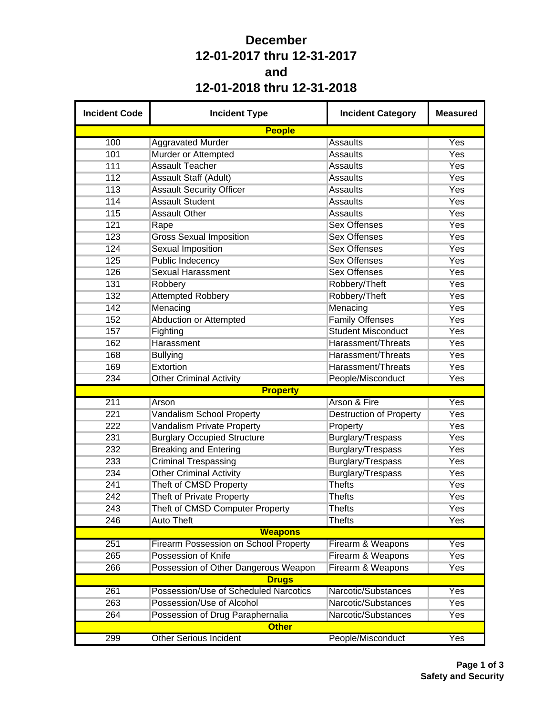## **December 12-01-2017 thru 12-31-2017 and 12-01-2018 thru 12-31-2018**

| <b>Incident Code</b> | <b>Incident Type</b>                         | <b>Incident Category</b>       | <b>Measured</b> |
|----------------------|----------------------------------------------|--------------------------------|-----------------|
|                      | <b>People</b>                                |                                |                 |
| 100                  | <b>Aggravated Murder</b>                     | <b>Assaults</b>                | Yes             |
| 101                  | Murder or Attempted                          | <b>Assaults</b>                | Yes             |
| 111                  | <b>Assault Teacher</b>                       | <b>Assaults</b>                | Yes             |
| 112                  | Assault Staff (Adult)                        | <b>Assaults</b>                | Yes             |
| 113                  | <b>Assault Security Officer</b>              | <b>Assaults</b>                | Yes             |
| 114                  | <b>Assault Student</b>                       | <b>Assaults</b>                | Yes             |
| 115                  | <b>Assault Other</b>                         | <b>Assaults</b>                | Yes             |
| 121                  | Rape                                         | <b>Sex Offenses</b>            | Yes             |
| 123                  | <b>Gross Sexual Imposition</b>               | <b>Sex Offenses</b>            | Yes             |
| 124                  | <b>Sexual Imposition</b>                     | <b>Sex Offenses</b>            | Yes             |
| 125                  | <b>Public Indecency</b>                      | <b>Sex Offenses</b>            | Yes             |
| 126                  | <b>Sexual Harassment</b>                     | <b>Sex Offenses</b>            | Yes             |
| 131                  | Robbery                                      | Robbery/Theft                  | Yes             |
| 132                  | <b>Attempted Robbery</b>                     | Robbery/Theft                  | Yes             |
| 142                  | Menacing                                     | Menacing                       | Yes             |
| 152                  | <b>Abduction or Attempted</b>                | <b>Family Offenses</b>         | Yes             |
| 157                  | Fighting                                     | <b>Student Misconduct</b>      | Yes             |
| 162                  | Harassment                                   | Harassment/Threats             | Yes             |
| 168                  | <b>Bullying</b>                              | Harassment/Threats             | Yes             |
| 169                  | Extortion                                    | Harassment/Threats             | Yes             |
| 234                  | <b>Other Criminal Activity</b>               | People/Misconduct              | Yes             |
|                      | <b>Property</b>                              |                                |                 |
| 211                  | Arson                                        | Arson & Fire                   | Yes             |
| 221                  | <b>Vandalism School Property</b>             | <b>Destruction of Property</b> | Yes             |
| 222                  | Vandalism Private Property                   | Property                       | Yes             |
| 231                  | <b>Burglary Occupied Structure</b>           | Burglary/Trespass              | Yes             |
| 232                  | <b>Breaking and Entering</b>                 | Burglary/Trespass              | Yes             |
| 233                  | <b>Criminal Trespassing</b>                  | Burglary/Trespass              | Yes             |
| 234                  | <b>Other Criminal Activity</b>               | Burglary/Trespass              | Yes             |
| 241                  | Theft of CMSD Property                       | <b>Thefts</b>                  | Yes             |
| 242                  | <b>Theft of Private Property</b>             | <b>Thefts</b>                  | Yes             |
| 243                  | Theft of CMSD Computer Property              | <b>Thefts</b>                  | Yes             |
| 246                  | <b>Auto Theft</b>                            | <b>Thefts</b>                  | Yes             |
|                      | <b>Weapons</b>                               |                                |                 |
| 251                  | <b>Firearm Possession on School Property</b> | Firearm & Weapons              | Yes             |
| 265                  | Possession of Knife                          | Firearm & Weapons              | Yes             |
| 266                  | Possession of Other Dangerous Weapon         | Firearm & Weapons              | Yes             |
|                      | <b>Drugs</b>                                 |                                |                 |
| 261                  | Possession/Use of Scheduled Narcotics        | Narcotic/Substances            | Yes             |
| 263                  | Possession/Use of Alcohol                    | Narcotic/Substances            | Yes             |
| 264                  | Possession of Drug Paraphernalia             | Narcotic/Substances            | Yes             |
|                      | <b>Other</b>                                 |                                |                 |
| 299                  | <b>Other Serious Incident</b>                | People/Misconduct              | Yes             |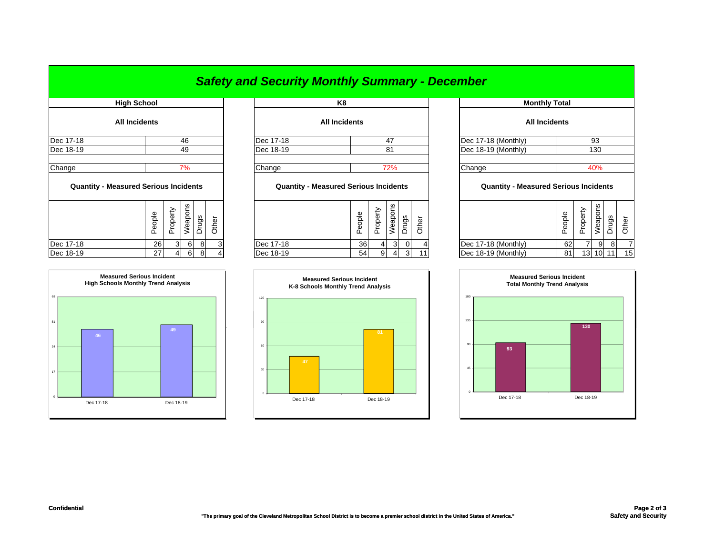## *Safety and Security Monthly Summary - December*

| <b>High School</b>                           |        |                |         |        |       |                                              | K8                   |                      |                          |              |                |          |
|----------------------------------------------|--------|----------------|---------|--------|-------|----------------------------------------------|----------------------|----------------------|--------------------------|--------------|----------------|----------|
| <b>All Incidents</b>                         |        |                |         |        |       |                                              | <b>All Incidents</b> |                      |                          |              |                |          |
| Dec 17-18                                    |        |                | 46      |        |       | Dec 17-18                                    |                      |                      | 47                       |              |                | Dec 17-  |
| Dec 18-19                                    |        |                | 49      |        |       | Dec 18-19                                    |                      |                      | 81                       |              |                | Dec 18   |
| Change                                       |        |                | 7%      |        |       | Change                                       |                      |                      | 72%                      |              |                | Change   |
| <b>Quantity - Measured Serious Incidents</b> |        |                |         |        |       | <b>Quantity - Measured Serious Incidents</b> |                      |                      |                          |              |                | Q        |
|                                              | People | Property       | Weapons | Drugs  | Other |                                              | People               | Property             | Weapons                  | <b>Drugs</b> | Other          |          |
| Dec 17-18                                    | 26     | 3 <sup>l</sup> | 6       | 8      |       | Dec 17-18                                    |                      | 36<br>$\overline{4}$ | 3 <sup>1</sup>           | $\Omega$     | 4              | Dec 17-  |
| $D - 40.40$                                  | $\sim$ | $\overline{A}$ | $\sim$  | $\sim$ |       | $D = 40.40$                                  |                      | F A                  | $\sim$<br>$\overline{A}$ | $\sim$       | $\overline{A}$ | $D = 40$ |



| <b>ENGLI OCHUOL</b>  |      |           | rνσ                  |                     |
|----------------------|------|-----------|----------------------|---------------------|
| <b>All Incidents</b> |      |           | <b>All Incidents</b> |                     |
| Dec 17-18            | 46   | Dec 17-18 | 47                   | Dec 17-18 (Monthly) |
| Dec 18-19            | 49   | Dec 18-19 |                      | Dec 18-19 (Monthly) |
|                      |      |           |                      |                     |
| Chana                | 70/_ | Channa    | 7004                 | Channa              |

## **Quantity - Measured Serious Incidents Quantity - Measured Serious Incidents Quantity - Measured Serious Incidents**

|           | Φ<br>≂<br>ᅭ<br>ብን<br>ட | ധ<br>◡ | ā<br>ಕ<br>Ф | ვ,<br>- | –<br>Ф |           | Φ<br>$\equiv$<br>∸<br>ብን<br>ட | ∽<br>Φ<br>௨<br>ပ<br>∸ | ဖာ<br>┶<br>ᠷ<br>Φ | w<br>రా<br>ப | ∽<br>Φ<br>◡ |                     | Φ<br>еорі<br>0<br>ட | ><br>፟፟፟፟፟፟፟፟፟፟<br>௨<br>ட | ၯ<br>န္ဖ<br>മ<br>⋍ | UJ.<br>ත | ∽  |
|-----------|------------------------|--------|-------------|---------|--------|-----------|-------------------------------|-----------------------|-------------------|--------------|-------------|---------------------|---------------------|---------------------------|--------------------|----------|----|
| Dec 17-18 | 26 I                   | 3      | 6           | $\circ$ | $\sim$ | Dec 17-18 | 36                            |                       | 3                 |              |             | Dec 17-18 (Monthly) | 62                  |                           | 91                 |          |    |
| Dec 18-19 | 27 <sub>l</sub>        |        | 6           | 8       | Δ      | Dec 18-19 | 54                            | ΩI                    | 4                 | $\Omega$     | 11          | Dec 18-19 (Monthly) | 81                  | 13                        | 10I                | 11       | 15 |



| <b>High School</b>       |        |                |         |       |       |                                              | K8                   |        |                |                |                |       | <b>Monthly Total</b>                         |        |          |          |       |       |
|--------------------------|--------|----------------|---------|-------|-------|----------------------------------------------|----------------------|--------|----------------|----------------|----------------|-------|----------------------------------------------|--------|----------|----------|-------|-------|
| All Incidents            |        |                |         |       |       |                                              | <b>All Incidents</b> |        |                |                |                |       | <b>All Incidents</b>                         |        |          |          |       |       |
|                          |        |                | 46      |       |       | Dec 17-18                                    |                      |        |                | 47             |                |       | Dec 17-18 (Monthly)                          |        |          | 93       |       |       |
|                          |        |                | 49      |       |       | Dec 18-19                                    |                      |        |                | 81             |                |       | Dec 18-19 (Monthly)                          |        |          | 130      |       |       |
|                          |        |                |         |       |       |                                              |                      |        |                |                |                |       |                                              |        |          |          |       |       |
|                          |        |                | 7%      |       |       | Change                                       |                      |        |                | 72%            |                |       | Change                                       |        |          | 40%      |       |       |
| asured Serious Incidents |        |                |         |       |       | <b>Quantity - Measured Serious Incidents</b> |                      |        |                |                |                |       | <b>Quantity - Measured Serious Incidents</b> |        |          |          |       |       |
|                          | People | Property       | Weapons | Drugs | Other |                                              |                      | People | Property       | Weapons        | Drugs          | Other |                                              | People | Property | Weapons  | Drugs | Other |
|                          | 26     | 3 <sup>l</sup> | 6       | 8     | 3     | Dec 17-18                                    |                      | 36     | $\overline{4}$ | $\overline{3}$ | $\overline{0}$ |       | Dec 17-18 (Monthly)                          | 62     |          | 9        | 8     | 7     |
|                          | 27     | $\overline{4}$ | 6       | 8     |       | Dec 18-19                                    |                      | 54     | 9              | $\overline{4}$ | 3              | 11    | Dec 18-19 (Monthly)                          | 81     |          | 13 10 11 |       | 15    |